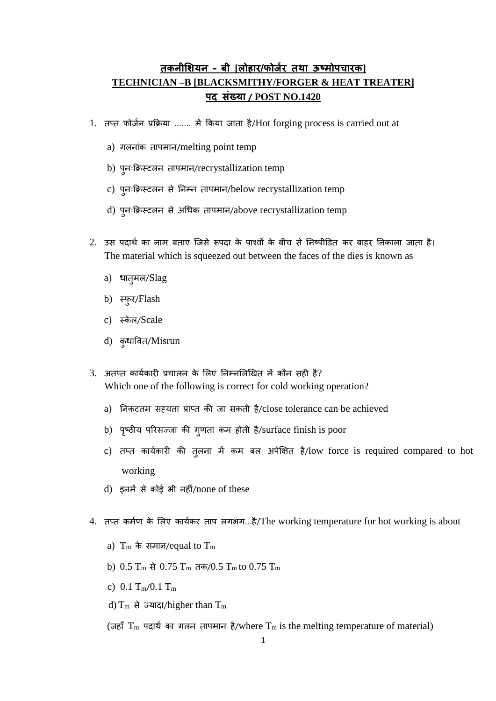## **तकनीशियन – बी [लोहार/फोर्जर तथा ऊष्मोपचारक] TECHNICIAN –B [BLACKSMITHY/FORGER & HEAT TREATER] पद संख्या / POST NO.1420**

- 1. तप्त फोर्जन प्रक्रिया ....... में किया जाता है/Hot forging process is carried out at
	- a) गलनांक तापमान/melting point temp
	- b) पुनःक्रिस्टलन तापमान/recrystallization temp
	- c) पुनःक्रिस्टलन से ननम्न तापमान/below recrystallization temp
	- d) पूनःक्रिस्टलन से अधिक तापमान/above recrystallization temp
- 2. उस पदार्थ का नाम बताए जिसे रूपदा के पार्श्वों के बीच से निष्पीडित कर बाहर निकाला जाता है। The material which is squeezed out between the faces of the dies is known as
	- a) धात्**मल/Slag**
	- b) स्फुर/Flash
	- c) स्केल/Scale
	- d) कृधावित/Misrun
- $3.$  अतप्त कार्यकारी प्रचालन के लिए निम्नलिखित में कौन सही है? Which one of the following is correct for cold working operation?
	- a) निकटतम सह़यता प्राप्त की जा सकती है/close tolerance can be achieved
	- b) पृष्ठीय परिसज्जा की गुणता कम होती है/surface finish is poor
	- c) तप्त कार्यकारी की तुलना में कम बल अपेक्षित है/low force is required compared to hot working
	- d) इनमें से कोई भी नहीं/none of these
- 4. तप्त कर्मण के लिए कार्यकर ताप लगभग...है/The working temperature for hot working is about
	- a)  $T_m$  के समान/equal to  $T_m$
	- b)  $0.5$  T<sub>m</sub> से  $0.75$  T<sub>m</sub> तक/ $0.5$  T<sub>m</sub> to  $0.75$  T<sub>m</sub>
	- c)  $0.1 T_m/0.1 T_m$
	- d)  $T_m$  से ज्यादा/higher than  $T_m$

(जहाँ  $T_m$  पदार्थ का गलन तापमान है/where  $T_m$  is the melting temperature of material)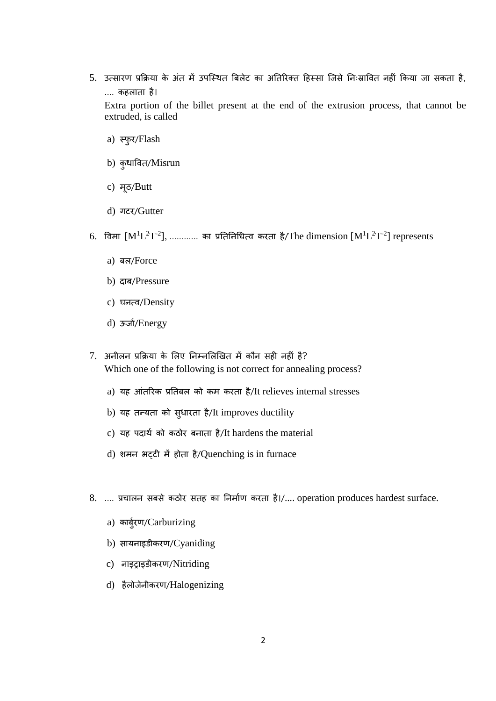- 5. उत्सारण प्रक्रिया के अंत में उपस्थित बिलेट का अतिरिक्त हिस्सा जिसे निःस्रावित नहीं किया जा सकता है, .... िहलाता है। Extra portion of the billet present at the end of the extrusion process, that cannot be
	- a) स्फुर/Flash
	- b) कृधावित/Misrun

extruded, is called

- c) मूठ/Butt
- d) गटर/Gutter
- $\rm 6.$  विमा  $\rm [M^{1}L^{2}T^{2}],$  ............ का प्रतिनिधित्व करता है/The dimension  $\rm [M^{1}L^{2}T^{2}]$  represents
	- a) बल/Force
	- b) दाब/Pressure
	- c) घनत्व/Density
	- d) ऊर्जा/Energy
- 7. अनीलन प्रक्रिया के लिए निम्नलिखित में कौन सही नहीं है? Which one of the following is not correct for annealing process?
	- a) यह आंतरिक प्रतिबल को कम करता है/It relieves internal stresses
	- b) यह तन्यता को सुधारता है/It improves ductility
	- c) यह पदार्थ को कठोर बनाता है/It hardens the material
	- d) शमन भट्टी में होता है/Quenching is in furnace
- 8. .... प्रचालन सबसे कठोर सतह का निर्माण करता है।/.... operation produces hardest surface.
	- a) कार्बरण/Carburizing
	- b) सायनाइडीकरण/Cyaniding
	- c) नाइट्राइडीकरण/Nitriding
	- d) हैलोर्ेनीिरण/Halogenizing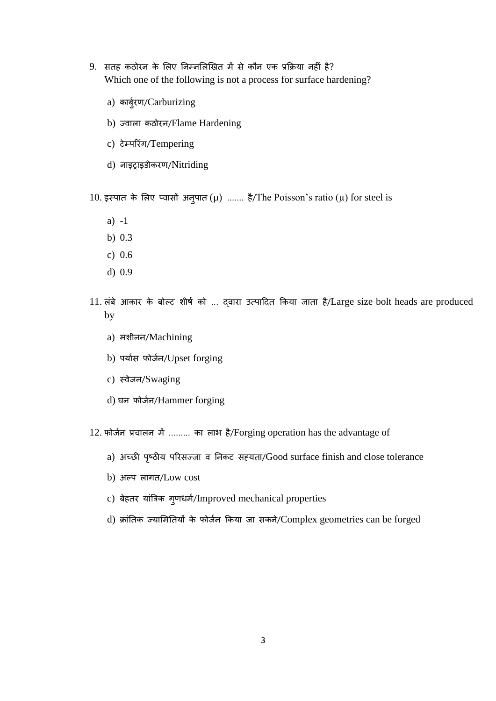- 9. सतह कठोरन के लिए निम्नलिखित में से कौन एक प्रक्रिया नहीं है? Which one of the following is not a process for surface hardening?
	- a) कार्बुरण/Carburizing
	- b) ज्वाला कठोरन/Flame Hardening
	- c) टेम्परिंग/Tempering
	- d) नाइट्राइडीकरण/Nitriding
- 10. इस्पात के लिए प्वासों अनुपात ( $\mu$ ) ....... है/The Poisson's ratio ( $\mu$ ) for steel is
	- a) -1
	- b) 0.3
	- c) 0.6
	- d) 0.9
- 11. लंबे आकार के बोल्ट शीर्ष को ... दवारा उत्पादित किया जाता है/Large size bolt heads are produced by
	- a) मशीनन/Machining
	- b) पर्यास फोर्जन/Upset forging
	- c) स्वेर्न/Swaging
	- d) घन फोर्जन/Hammer forging
- 12. फोर्जन प्रचालन में ......... का लाभ है/Forging operation has the advantage of
	- a) अच्छी पष्ृठीय पररसज्र्ा व ननिट सह्यता/Good surface finish and close tolerance
	- b) अल्प लागत/Low cost
	- c) बेहतर यांत्रिक गुणधर्म/Improved mechanical properties
	- d) क्रांतिक ज्यामितियों के फोर्जन किया जा सकने/Complex geometries can be forged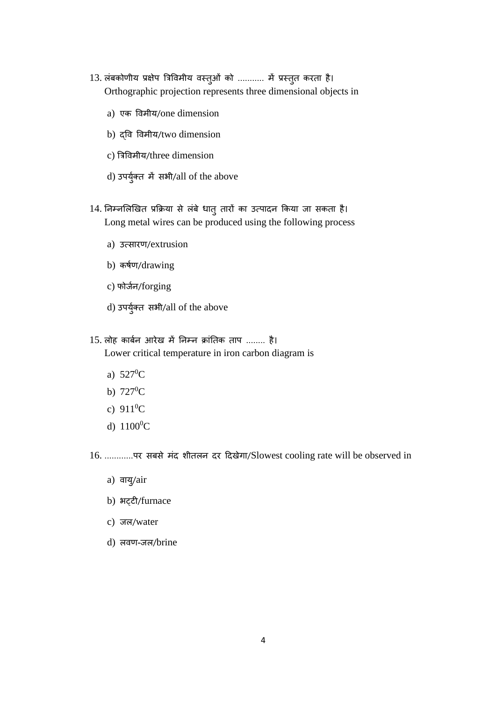- 13. लंबकोणीय प्रक्षेप त्रिविमीय वस्तुओं को ........... में प्रस्तुत करता है। Orthographic projection represents three dimensional objects in
	- a) एक विमीय/one dimension
	- b) द्वव ववमीय/two dimension
	- c) बिववमीय/three dimension
	- d) उपर्युक्त में सभी/all of the above
- 14. निम्नलिखित प्रक्रिया से लंबे धातु तारों का उत्पादन किया जा सकता है। Long metal wires can be produced using the following process
	- a) उत्सारण/extrusion
	- b) कर्षण/drawing
	- c) फोर्जन/forging
	- d) उपयुक्ज त सभी/all of the above
- 15. लोह कार्बन आरेख में निम्न क्रांतिक ताप ........ है। Lower critical temperature in iron carbon diagram is
	- a)  $527^0C$
	- b)  $727^{\circ}C$
	- c)  $911^0C$
	- d)  $1100^0C$
- 16. ............पर सबसे मांद शीतलन दर हदिेगा/Slowest cooling rate will be observed in
	- a) वायु/air
	- b) भट्टी/furnace
	- c) जल/water
	- d) लवण-र्ल/brine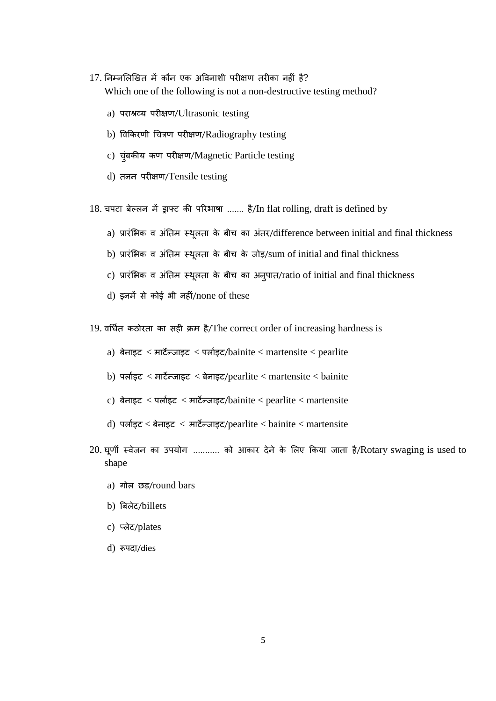- $17.$  निम्नलिखित में कौन एक अविनाशी परीक्षण तरीका नहीं है? Which one of the following is not a non-destructive testing method?
	- a) पराश्रव्य परीिण/Ultrasonic testing
	- b) विकिरणी चित्रण परीक्षण/Radiography testing
	- c) चुंबकीय कण परीक्षण/Magnetic Particle testing
	- d) तनन परीिण/Tensile testing
- 18. चपटा बेल्लन में ड्राफ्ट की परिभाषा ....... है/In flat rolling, draft is defined by
	- a) प्रारंभिक व अंतिम स्थूलता के बीच का अंतर/difference between initial and final thickness
	- b) प्रारंभिक व अंतिम स्थूलता के बीच के जोड़/sum of initial and final thickness
	- c) प्रारंभिक व अंतिम स्थूलता के बीच का अनुपात/ratio of initial and final thickness
	- $d$ ) इनमें से कोई भी नहीं/none of these
- 19. वर्धित कठोरता का सही क्रम है/The correct order of increasing hardness is
	- a) बेनाइट  $<$  मार्टन्जाइट  $<$  पर्लाइट/bainite  $<$  martensite  $<$  pearlite
	- b) पर्लाइट  $<$  मार्टन्जाइट  $<$  बेनाइट/pearlite  $<$  martensite  $<$  bainite
	- c) बेनाइट < पर्लाइट < मार्टेन्जाइट/bainite < pearlite < martensite
	- d) पर्लाइट  $<$  बेनाइट  $<$  मार्टेन्जाइट/pearlite  $<$  bainite  $<$  martensite
- $20$ . घूर्णी स्वेजन का उपयोग ........... को आकार देने के लिए किया जाता है/Rotary swaging is used to shape
	- a) गोल छड़/round bars
	- b) बबलेट/billets
	- c) प्लेट/plates
	- d) रूपदा/dies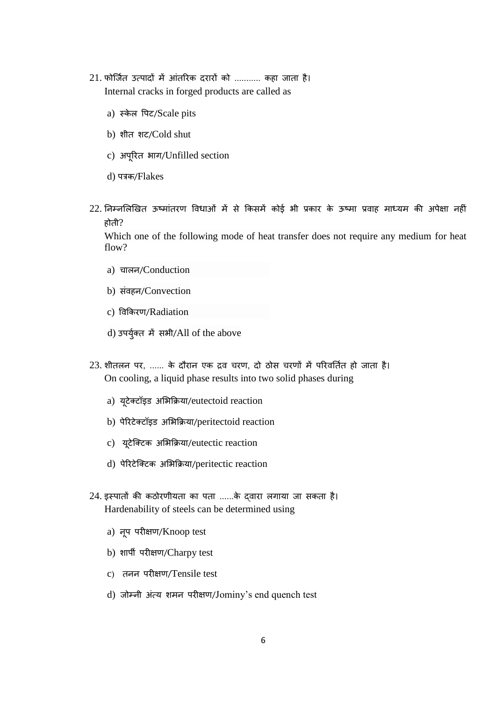- 21. फोर्जित उत्पादों में आंतरिक दरारों को ........... कहा जाता है। Internal cracks in forged products are called as
	- a) स्केल पिट/Scale pits
	- b) शीत शट/Cold shut
	- c) अपूररत भाग/Unfilled section
	- d) पत्रक/Flakes
- $22$ . निम्नलिखित ऊष्मांतरण विधाओं में से किसमें कोई भी प्रकार के ऊष्मा प्रवाह माध्यम की अपेक्षा नहीं होती?

Which one of the following mode of heat transfer does not require any medium for heat flow?

- a) चालन/Conduction
- b) संवहन/Convection
- c) ववक्रिरण/Radiation
- d) उपर्युक्त में सभी/All of the above
- 23. शीतलन पर, ...... के दौरान एक द्रव चरण, दो ठोस चरणों में परिवर्तित हो जाता है। On cooling, a liquid phase results into two solid phases during
	- a) यूटेक्टॉइड अभिक्रिया/eutectoid reaction
	- b) पेरिटेक्टॉइड अभिक्रिया/peritectoid reaction
	- c) यूटेक्टिक अभिक्रिया/eutectic reaction
	- d) पेररटेजक्टि अलभक्रिया/peritectic reaction
- 24. इस्पातों की कठोरणीयता का पता ......के दवारा लगाया जा सकता है। Hardenability of steels can be determined using
	- a) नूप परीक्षण/Knoop test
	- b) शार्पी परीक्षण/Charpy test
	- c) तनन परीिण/Tensile test
	- d) र्ोम्नी अांत्य शमन परीिण/Jominy's end quench test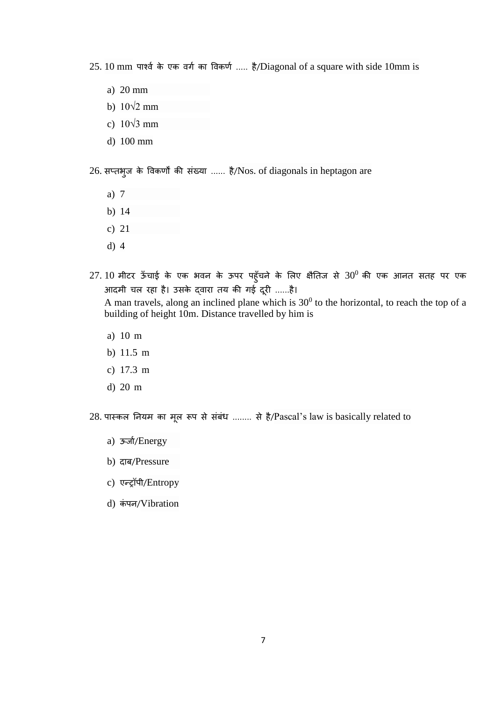25. 10 mm पार्श्व के एक वर्ग का विकर्ण ..... है/Diagonal of a square with side 10mm is

- a) 20 mm
- b)  $10\sqrt{2}$  mm
- c) 10√3 mm
- d) 100 mm

26. सप्तभूज के विकर्णों की संख्या ...... है/Nos. of diagonals in heptagon are

- a) 7
- b) 14
- c) 21
- d) 4
- 27. 10 मीटर ऊँचाई के एक भवन के ऊपर पहूँचने के लिए क्षैतिज से 30<sup>0</sup> की एक आनत सतह पर एक आदमी चल रहा है। उसके दवारा तय की गई दूरी ......है।

A man travels, along an inclined plane which is  $30<sup>0</sup>$  to the horizontal, to reach the top of a building of height 10m. Distance travelled by him is

- a) 10 m
- b) 11.5 m
- c) 17.3 m
- d) 20 m

28. पास्कल नियम का मूल रूप से संबंध ........ से है/Pascal's law is basically related to

- a) ऊर्जा/Energy
- b) दाब/Pressure
- c) एन्ट्रॉपी/Entropy
- d) कंपन/Vibration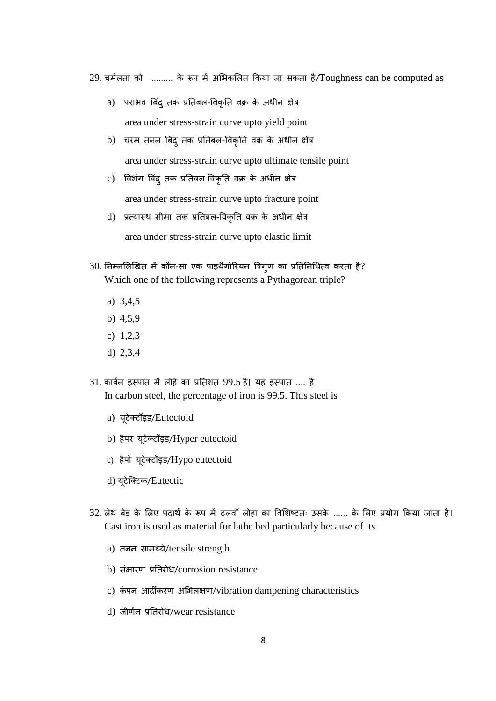$29.$  चर्मलता को ......... के रूप में अभिकलित किया जा सकता है/Toughness can be computed as

- a) पराभव बिंद् तक प्रतिबल-विकृति वक्र के अधीन क्षेत्र area under stress-strain curve upto yield point
- b) चरम तनन बिंद् तक प्रतिबल-विकृति वक्र के अधीन क्षेत्र area under stress-strain curve upto ultimate tensile point
- c) विभंग बिंद् तक प्रतिबल-विकृति वक्र के अधीन क्षेत्र area under stress-strain curve upto fracture point
- d) प्रत्यास्थ सीमा तक प्रतिबल-विकृति वक्र के अधीन क्षेत्र area under stress-strain curve upto elastic limit
- $30$ . निम्नलिखित में कौन-सा एक पाइथैगोरियन त्रिग्ण का प्रतिनिधित्व करता है? Which one of the following represents a Pythagorean triple?
	- a) 3,4,5
	- b) 4,5,9
	- c) 1,2,3
	- d) 2,3,4
- 31. कार्बन इस्पात में लोहे का प्रतिशत 99.5 है। यह इस्पात .... है। In carbon steel, the percentage of iron is 99.5. This steel is
	- a) यूटेक्टॉइड/Eutectoid
	- b) हैपर यूटेक्टॉइड/Hyper eutectoid
	- c) हैपो यूटेक्टॉइि/Hypo eutectoid
	- d) यूटेक्टिक/Eutectic
- 32. लेथ बेड के लिए पदार्थ के रूप में ढलवाँ लोहा का विशिष्टतः उसके ...... के लिए प्रयोग किया जाता है। Cast iron is used as material for lathe bed particularly because of its
	- a) तनन सामर्थ्य/tensile strength
	- b) संक्षारण प्रतिरोध/corrosion resistance
	- c) कंपन आर्द्रीकरण अभिलक्षण/vibration dampening characteristics
	- d) जीर्णन प्रतिरोध/wear resistance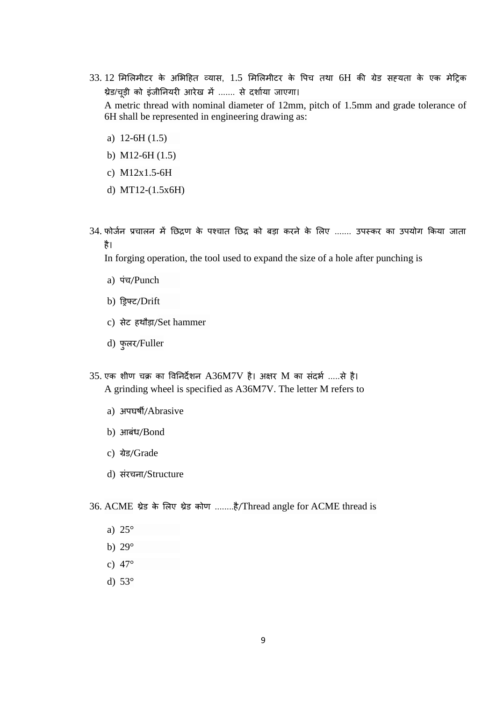- $33.12$  मिलिमीटर के अभिहित व्यास,  $1.5$  मिलिमीटर के पिच तथा 6H की ग्रेड सह्यता के एक मेट्रिक थ्रेड/चूड़ी को इंजीनियरी आरेख में ....... से दर्शाया जाएगा। A metric thread with nominal diameter of 12mm, pitch of 1.5mm and grade tolerance of 6H shall be represented in engineering drawing as:
	- a) 12-6H (1.5)
	- b) M12-6H (1.5)
	- c) M12x1.5-6H
	- d) MT12-(1.5x6H)
- 34. फोर्जन प्रचालन में छिद्रण के पश्चात छिद्र को बड़ा करने के लिए ....... उपस्कर का उपयोग किया जाता है।

In forging operation, the tool used to expand the size of a hole after punching is

- a) पंच/Punch
- b) डड्रफ्ट/Drift
- c) सेट हर्ौड़ा/Set hammer
- d) फुलर/Fuller
- $35.$  एक शीण चक्र का विनिर्देशन  $A36M7V$  है। अक्षर  $M$  का संदर्भ .....से है। A grinding wheel is specified as A36M7V. The letter M refers to
	- a) अपघर्षी/Abrasive
	- b) आबंध/Bond
	- c) ग्रेड/Grade
	- d) संरचना/Structure
- 36. ACME थ्रेड के लिए थ्रेड कोण ........है/Thread angle for ACME thread is
	- a) 25°
	- b) 29°
	- c) 47°
	- d) 53°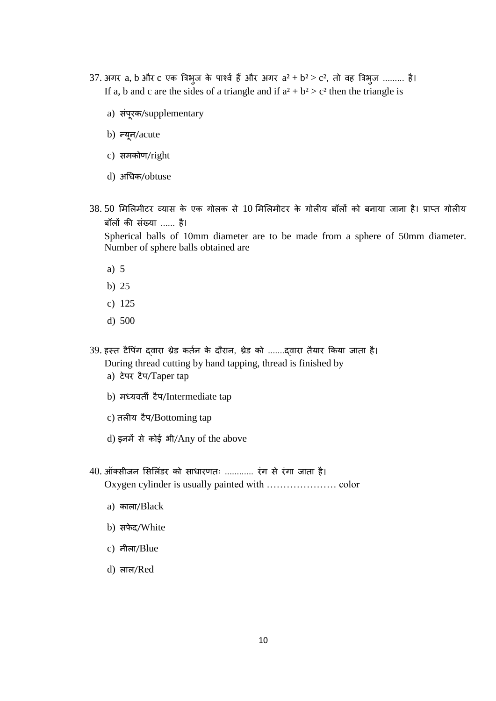- 37. अगर a, b और c एक त्रिभुज के पार्श्व हैं और अगर  $a^2 + b^2 > c^2$ , तो वह त्रिभुज ......... है। If a, b and c are the sides of a triangle and if  $a^2 + b^2 > c^2$  then the triangle is
	- a) संपूरक/supplementary
	- b) न्यून/acute
	- c) समकोण/right
	- d) अधिक/obtuse
- $38.50$  मिलिमीटर व्यास के एक गोलक से  $10$  मिलिमीटर के गोलीय बॉलों को बनाया जाना है। प्राप्त गोलीय बॉलों की संख्या ...... है।

Spherical balls of 10mm diameter are to be made from a sphere of 50mm diameter. Number of sphere balls obtained are

- a) 5
- b) 25
- c) 125
- d) 500
- 39. हस्त टैपिंग दवारा थ्रेड कर्तन के दौरान, थ्रेड को .......दवारा तैयार किया जाता है। During thread cutting by hand tapping, thread is finished by a) टेपर टैप/Taper tap
	- b) मध्यवती टैप/Intermediate tap
	- c) तलीय टैप/Bottoming tap
	- d) इनमें से कोई भी/Any of the above
- 40. ऑक्सीजन सिलिंडर को साधारणतः ............ रंग से रंगा जाता है। Oxygen cylinder is usually painted with ………………… color
	- a) काला/Black
	- b) सफेद/White
	- c) नीला/Blue
	- d) लाल/Red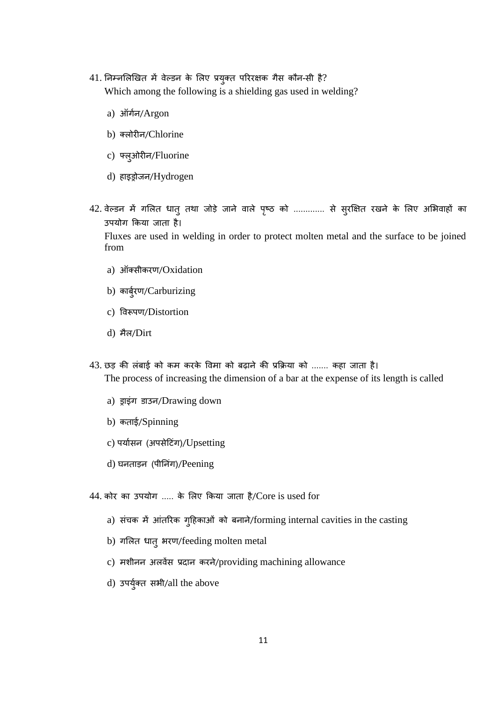- 41. निम्नलिखित में वेल्डन के लिए प्रयुक्त परिरक्षक गैस कौन-सी है? Which among the following is a shielding gas used in welding?
	- a) ऑगजन/Argon
	- b) क्लोरीन/Chlorine
	- c) फ्लुओरीन/Fluorine
	- d) हाइड्रोर्न/Hydrogen
- 42. वेल्डन में गलित धातु तथा जोड़े जाने वाले पृष्ठ को ............. से सुरक्षित रखने के लिए अभिवाहों का उपयोग किया जाता है। Fluxes are used in welding in order to protect molten metal and the surface to be joined

from

- a) ऑक्सीकरण/Oxidation
- b) कार्बरण/Carburizing
- c) ववरूपण/Distortion
- d) मैल/Dirt
- 43. छड़ की लंबाई को कम करके विमा को बढ़ाने की प्रक्रिया को ....... कहा जाता है। The process of increasing the dimension of a bar at the expense of its length is called
	- a) ड्राइंग डाउन/Drawing down
	- b) कताई/Spinning
	- c) पर्यासन (अपसेटिंग)/Upsetting
	- d) घनताइन (पीनिंग)/Peening
- $44.$  कोर का उपयोग ..... के लिए किया जाता है/Core is used for
	- a) संचक में आंतरिक गुहिकाओं को बनाने/forming internal cavities in the casting
	- b) गलित धात् भरण/feeding molten metal
	- c) मशीनन अलवेंस प्रदान करने/providing machining allowance
	- d) उपर्युक्त सभी/all the above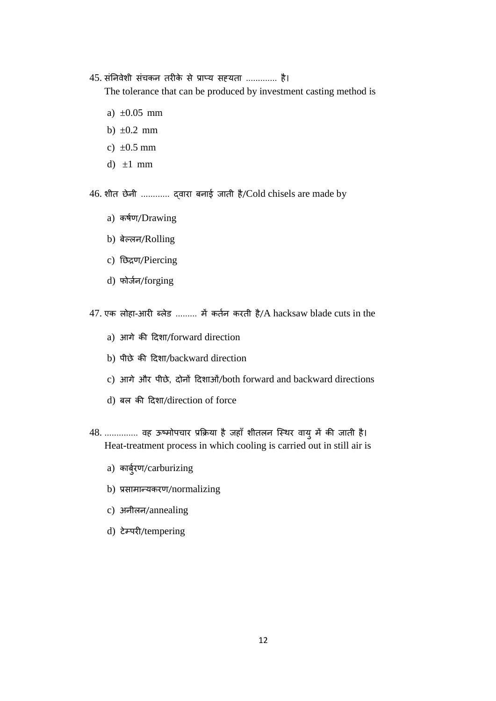45. संनिवेशी संचकन तरीके से प्राप्य सह़यता ............. है।

The tolerance that can be produced by investment casting method is

- a)  $\pm 0.05$  mm
- b)  $\pm 0.2$  mm
- c)  $\pm 0.5$  mm
- d)  $\pm 1$  mm

46. शीत छेनी ............ द्वारा बनाई जाती है/Cold chisels are made by

- a) कर्षण/Drawing
- b) बेल्लन/Rolling
- c) नछद्रण/Piercing
- d) फोर्जन/forging

47. एक लोहा-आरी ब्लेड ......... में कर्तन करती है/A hacksaw blade cuts in the

- a) आगे की दिशा/forward direction
- b) पीछे की दिशा/backward direction
- c) आगे और पीछे, दोनों हदशाओां/both forward and backward directions
- d) बल की दिशा/direction of force
- 48. .............. वह ऊष्मोपचार प्रक्रिया है जहाँ शीतलन स्थिर वायु में की जाती है। Heat-treatment process in which cooling is carried out in still air is
	- a) कार्बरण/carburizing
	- b) प्रसामान्यिरण/normalizing
	- c) अनीलन/annealing
	- d) टेम्परी/tempering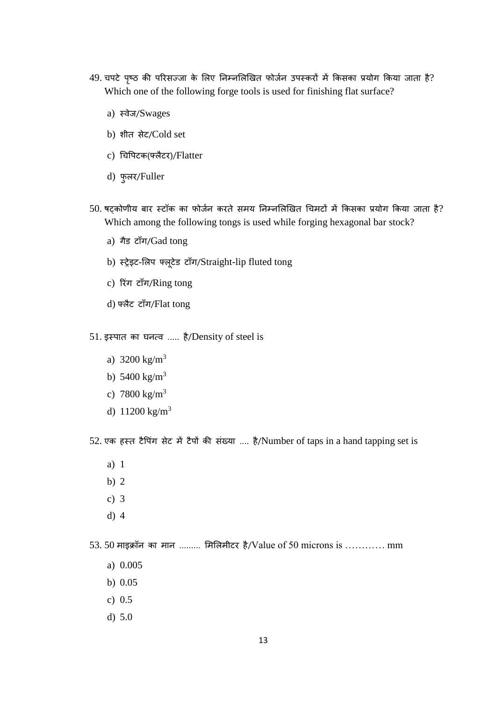- 49. चपटे पृष्ठ की परिसज्जा के लिए निम्नलिखित फोर्जन उपस्करों में किसका प्रयोग किया जाता है? Which one of the following forge tools is used for finishing flat surface?
	- a) स्वेर्/Swages
	- b) शीत सेट/Cold set
	- c) चिपिटक(फ्लैटर)/Flatter
	- d) फुलर/Fuller
- 50. षट्कोणीय बार स्टॉक का फोर्जन करते समय निम्नलिखित चिमटों में किसका प्रयोग किया जाता है? Which among the following tongs is used while forging hexagonal bar stock?
	- a) गैड टाँग/Gad tong
	- b) स्ट्रेइट-लिप फ्लूटेड टॉंग/Straight-lip fluted tong
	- c) रिंग टाँग/Ring tong
	- d) फ्लैट टॉंग/Flat tong
- $51.$  इस्पात का घनत्व ..... है/Density of steel is
	- a)  $3200 \text{ kg/m}^3$
	- b)  $5400 \text{ kg/m}^3$
	- c)  $7800 \text{ kg/m}^3$
	- d)  $11200 \text{ kg/m}^3$

52. एक हस्त टैपिंग सेट में टैपों की संख्या .... है/Number of taps in a hand tapping set is

- a) 1
- b) 2
- c) 3
- d) 4

53. 50 माइक्रॉन का मान ......... मिलिमीटर है/Value of 50 microns is ………… mm

- a) 0.005
- b) 0.05
- c) 0.5
- d) 5.0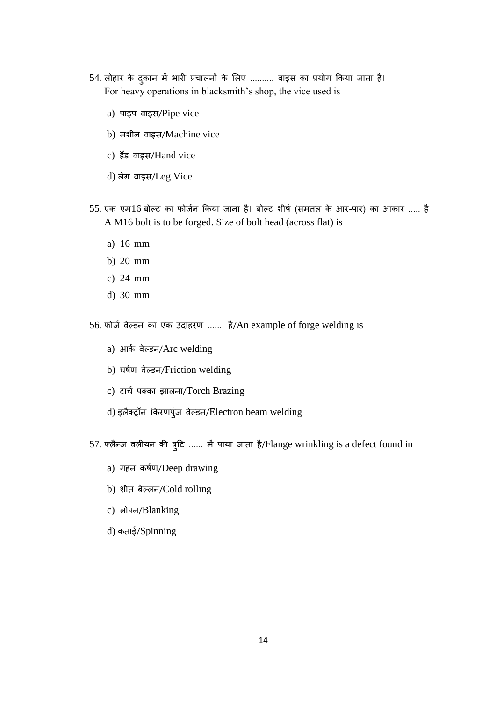- 54. लोहार के दुकान में भारी प्रचालनों के लिए .......... वाइस का प्रयोग किया जाता है। For heavy operations in blacksmith's shop, the vice used is
	- a) पाइप वाइस/Pipe vice
	- b) मशीन वाइस/Machine vice
	- c) हैंड वाइस/Hand vice
	- d) लेग वाइस/Leg Vice
- 55. एक एम16 बोल्ट का फोर्जन किया जाना है। बोल्ट शीर्ष (समतल के आर-पार) का आकार ..... है। A M16 bolt is to be forged. Size of bolt head (across flat) is
	- a) 16 mm
	- b) 20 mm
	- c) 24 mm
	- d) 30 mm

56. फोर्ज वेल्डन का एक उदाहरण ....... है/An example of forge welding is

- a) आर्क वेल्डन/Arc welding
- b) घर्जण वेल्िन/Friction welding
- c) टार्च पक्का झालना/Torch Brazing
- d) इलैक्ट्रॉन किरणपुंज वेल्डन/Electron beam welding
- 57. फ्लैन्ज वलीयन की त्रुटि ...... में पाया जाता है/Flange wrinkling is a defect found in
	- a) गहन कर्षण/Deep drawing
	- b) शीत बेल्लन/Cold rolling
	- c) लोपन/Blanking
	- d) कताई/Spinning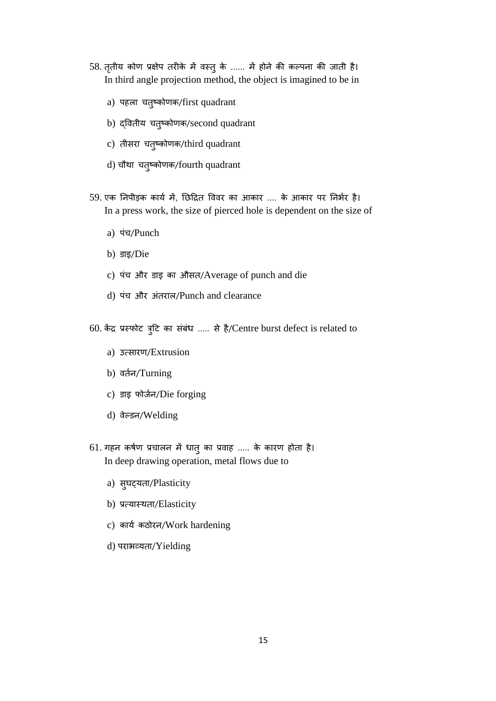- 58. तृतीय कोण प्रक्षेप तरीके में वस्तु के ...... में होने की कल्पना की जाती है। In third angle projection method, the object is imagined to be in
	- a) पहला चतुष्कोणक/first quadrant
	- b) दवितीय चतुष्कोणक/second quadrant
	- c) तीसरा चतुष्कोणक/third quadrant
	- d) चौथा चतुष्कोणक/fourth quadrant
- 59. एक निपीड़क कार्य में, छिद्रित विवर का आकार .... के आकार पर निर्भर है। In a press work, the size of pierced hole is dependent on the size of
	- a) पंच/Punch
	- b) डाइ/Die
	- c) पंच और डाइ का औसत/Average of punch and die
	- d) पंच और अंतराल/Punch and clearance
- 60. केंद्र प्रस्फोट त्रूटि का संबंध ..... से है/Centre burst defect is related to
	- a) उत्सारण/Extrusion
	- b) वर्तन/Turning
	- c) डाइ फोर्जन/Die forging
	- d) वेल्डन/Welding
- 61. गहन कर्षण प्रचालन में धातु का प्रवाह ..... के कारण होता है। In deep drawing operation, metal flows due to
	- a) सुघट्यता/Plasticity
	- b) प्रत्यास्र्ता/Elasticity
	- c) कार्य कठोरन/Work hardening
	- d) पराभव्यता/Yielding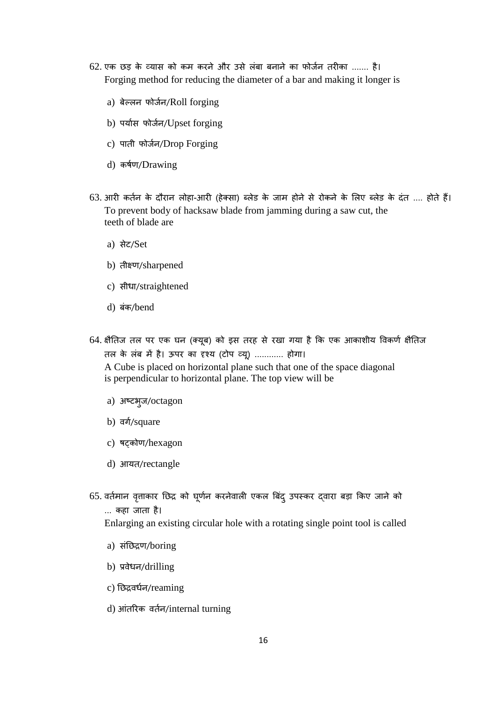- 62. एक छड़ के व्यास को कम करने और उसे लंबा बनाने का फोर्जन तरीका ....... है। Forging method for reducing the diameter of a bar and making it longer is
	- a) बेल्लन फोर्जन/Roll forging
	- b) पर्यास फोर्जन/Upset forging
	- c) पाती फोर्जन/Drop Forging
	- d) कर्षण/Drawing
- 63. आरी कर्तन के दौरान लोहा-आरी (हेक्सा) ब्लेड के जाम होने से रोकने के लिए ब्लेड के दंत .... होते हैं। To prevent body of hacksaw blade from jamming during a saw cut, the teeth of blade are
	- a) सेट/Set
	- b) तीक्ष्ण/sharpened
	- c) सीधा/straightened
	- d) बंक/bend
- 64. क्षैतिज तल पर एक घन (क्यूब) को इस तरह से रखा गया है कि एक आकाशीय विकर्ण क्षैतिज तल के लंब में है। ऊपर का दृश्य (टोप व्यू) ............ होगा।

A Cube is placed on horizontal plane such that one of the space diagonal is perpendicular to horizontal plane. The top view will be

- a) अष्टभुर्/octagon
- b) वर्ग/square
- c) षटकोण/hexagon
- d) आयत/rectangle
- 65. वर्तमान वृत्ताकार छिद्र को घूर्णन करनेवाली एकल बिंद् उपस्कर दवारा बड़ा किए जाने को ... कहा जाता है।

Enlarging an existing circular hole with a rotating single point tool is called

- a) सांनछद्रण/boring
- b) प्रवेधन/drilling
- c) नछद्रविजन/reaming
- d) आंतरिक वर्तन/internal turning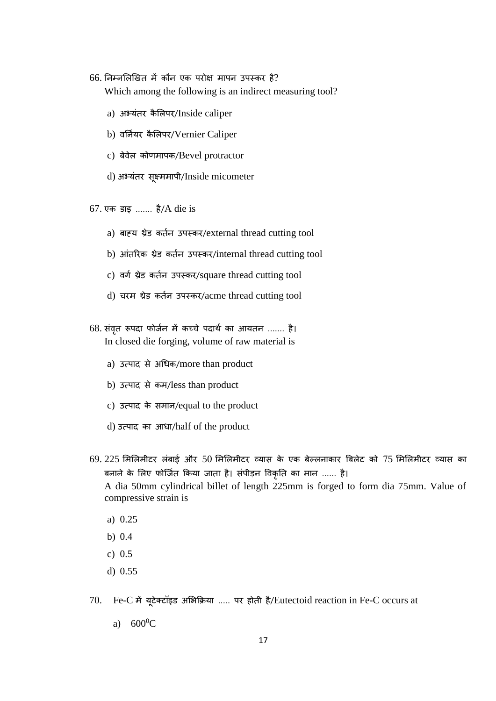$66.$  निम्नलिखित में कौन एक परोक्ष मापन उपस्कर है? Which among the following is an indirect measuring tool?

- a) अभ्यंतर कैलिपर/Inside caliper
- b) वर्नियर कैलिपर/Vernier Caliper
- c) बेवेल कोणमापक/Bevel protractor
- d) अभ्यांतर सूक्ष्ममापी/Inside micometer
- $67.$  एक डाइ ....... है/A die is
	- a) बाह्य थ्रेड कर्तन उपस्कर/external thread cutting tool
	- b) आंतरिक थ्रेड कर्तन उपस्कर/internal thread cutting tool
	- c) वर्ग थ्रेड कर्तन उपस्कर/square thread cutting tool
	- d) चरम थ्रेड कर्तन उपस्कर/acme thread cutting tool
- 68. संवृत रूपदा फोर्जन में कच्चे पदार्थ का आयतन ....... है। In closed die forging, volume of raw material is
	- a) उत्पाद से अधिक/more than product
	- b) उत्पाद से कम/less than product
	- c) उत्पाद के समान/equal to the product
	- d) उत्पाद का आधा/half of the product
- 69. 225 मिलिमीटर लंबाई और 50 मिलिमीटर व्यास के एक बेल्लनाकार बिलेट को 75 मिलिमीटर व्यास का बनाने के लिए फोर्जित किया जाता है। संपीड़न विकृति का मान ...... है। A dia 50mm cylindrical billet of length 225mm is forged to form dia 75mm. Value of compressive strain is
	- a) 0.25
	- b) 0.4
	- c) 0.5
	- d) 0.55
- 70. Fe-C में यूटेक्टॉइि अलभक्रिया ..... पर होती है/Eutectoid reaction in Fe-C occurs at
	- a)  $600^0C$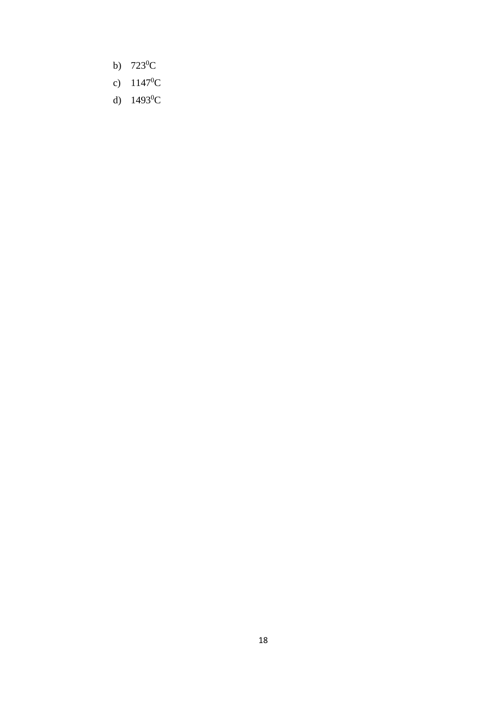- b)  $723^0C$
- c)  $1147^0C$
- d)  $1493^0C$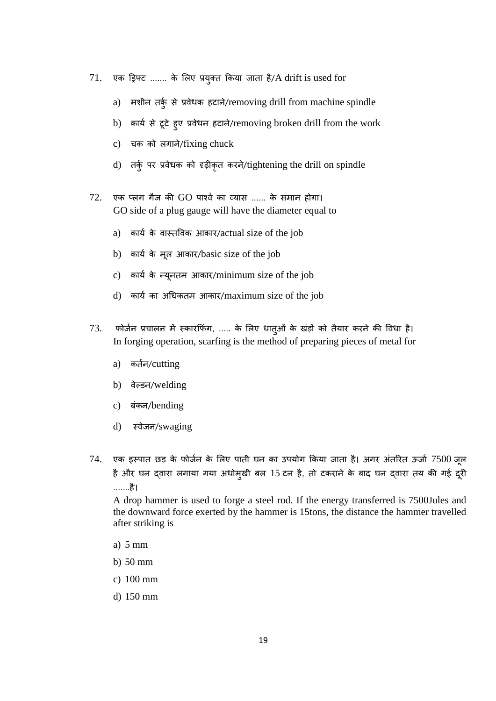- $71.$  एक ड्रिफ्ट ....... के लिए प्रयुक्त किया जाता है/A drift is used for
	- a) मशीन तर्क् से प्रवेधक हटाने/removing drill from machine spindle
	- b) कार्य से टूटे हुए प्रवेधन हटाने/removing broken drill from the work
	- c) चक को लगाने/fixing chuck
	- d) तर्क् पर प्रवेधक को दृढ़ीकृत करने/tightening the drill on spindle
- $72.$  एक प्लग गैज की GO पार्श्व का व्यास ...... के समान होगा। GO side of a plug gauge will have the diameter equal to
	- a) कार्य के वास्तविक आकार/actual size of the job
	- b) कार्य के मूल आकार/basic size of the job
	- c) कार्य के न्यूनतम आकार/minimum size of the job
	- d) कार्य का अधिकतम आकार/maximum size of the job
- 73. फोर्जन प्रचालन में स्कारफिंग, ..... के लिए धात्ओं के खंड़ों को तैयार करने की विधा है। In forging operation, scarfing is the method of preparing pieces of metal for
	- a) कर्तन/cutting
	- b) वेल्डन/welding
	- c) बंकन/bending
	- d) स्वेर्न/swaging
- $74.$  एक इस्पात छड़ के फोर्जन के लिए पाती घन का उपयोग किया जाता है। अगर अंतरित ऊर्जा  $7500$  जूल है और घन दवारा लगाया गया अधोमुखी बल 15 टन है, तो टकराने के बाद घन दवारा तय की गई दूरी .......है।

A drop hammer is used to forge a steel rod. If the energy transferred is 7500Jules and the downward force exerted by the hammer is 15tons, the distance the hammer travelled after striking is

- a) 5 mm
- b) 50 mm
- c) 100 mm
- d) 150 mm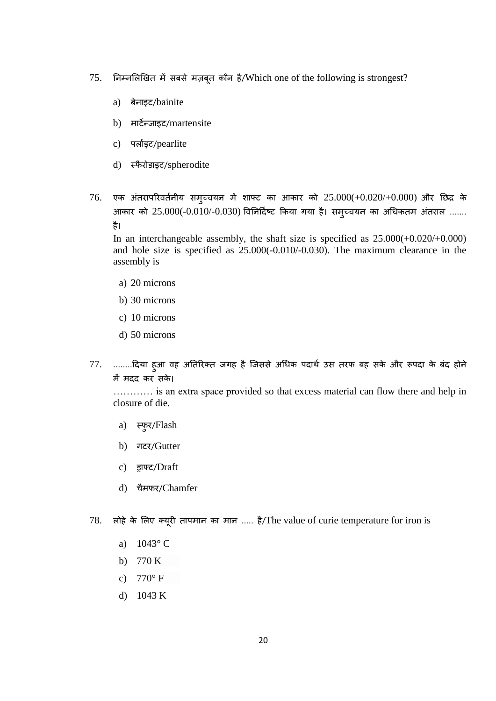- $75.$  निम्नलिखित में सबसे मज़बूत कौन है/Which one of the following is strongest?
	- a) बेनाइट/bainite
	- b) माटेन्र्ाइट/martensite
	- c) पलाजइट/pearlite
	- d) स्फैरोडाइट/spherodite
- $76.$  एक अंतरापरिवर्तनीय समुच्चयन में शाफ्ट का आकार को  $25.000(+0.020/+0.000)$  और छिद्र के आकार को 25.000(-0.010/-0.030) विनिर्दिष्ट किया गया है। समुच्चयन का अधिकतम अंतराल ....... है।

In an interchangeable assembly, the shaft size is specified as 25.000(+0.020/+0.000) and hole size is specified as 25.000(-0.010/-0.030). The maximum clearance in the assembly is

- a) 20 microns
- b) 30 microns
- c) 10 microns
- d) 50 microns
- 77. ........दिया हुआ वह अतिरिक्त जगह है जिससे अधिक पदार्थ उस तरफ बह सके और रूपदा के बंद होने में मदद कर सके।

………… is an extra space provided so that excess material can flow there and help in closure of die.

- a) स्फुर/Flash
- b) गटर/Gutter
- c) ड्राफ्ट/Draft
- d) चैमफर/Chamfer
- 78. लोहे के लिए क्यूरी तापमान का मान ..... है/The value of curie temperature for iron is
	- a) 1043° C
	- b) 770 K
	- c)  $770^{\circ}$  F
	- d) 1043 K